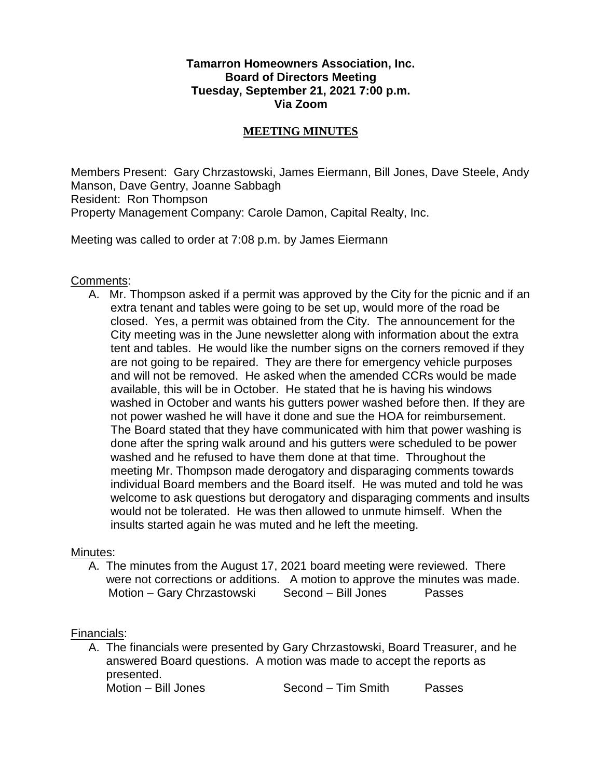# **Tamarron Homeowners Association, Inc. Board of Directors Meeting Tuesday, September 21, 2021 7:00 p.m. Via Zoom**

# **MEETING MINUTES**

Members Present: Gary Chrzastowski, James Eiermann, Bill Jones, Dave Steele, Andy Manson, Dave Gentry, Joanne Sabbagh Resident: Ron Thompson Property Management Company: Carole Damon, Capital Realty, Inc.

Meeting was called to order at 7:08 p.m. by James Eiermann

#### Comments:

A. Mr. Thompson asked if a permit was approved by the City for the picnic and if an extra tenant and tables were going to be set up, would more of the road be closed. Yes, a permit was obtained from the City. The announcement for the City meeting was in the June newsletter along with information about the extra tent and tables. He would like the number signs on the corners removed if they are not going to be repaired. They are there for emergency vehicle purposes and will not be removed. He asked when the amended CCRs would be made available, this will be in October. He stated that he is having his windows washed in October and wants his gutters power washed before then. If they are not power washed he will have it done and sue the HOA for reimbursement. The Board stated that they have communicated with him that power washing is done after the spring walk around and his gutters were scheduled to be power washed and he refused to have them done at that time. Throughout the meeting Mr. Thompson made derogatory and disparaging comments towards individual Board members and the Board itself. He was muted and told he was welcome to ask questions but derogatory and disparaging comments and insults would not be tolerated. He was then allowed to unmute himself. When the insults started again he was muted and he left the meeting.

### Minutes:

A. The minutes from the August 17, 2021 board meeting were reviewed. There were not corrections or additions. A motion to approve the minutes was made. Motion – Gary Chrzastowski Second – Bill Jones Passes

### Financials:

A. The financials were presented by Gary Chrzastowski, Board Treasurer, and he answered Board questions. A motion was made to accept the reports as presented. Motion – Bill Jones Second – Tim Smith Passes